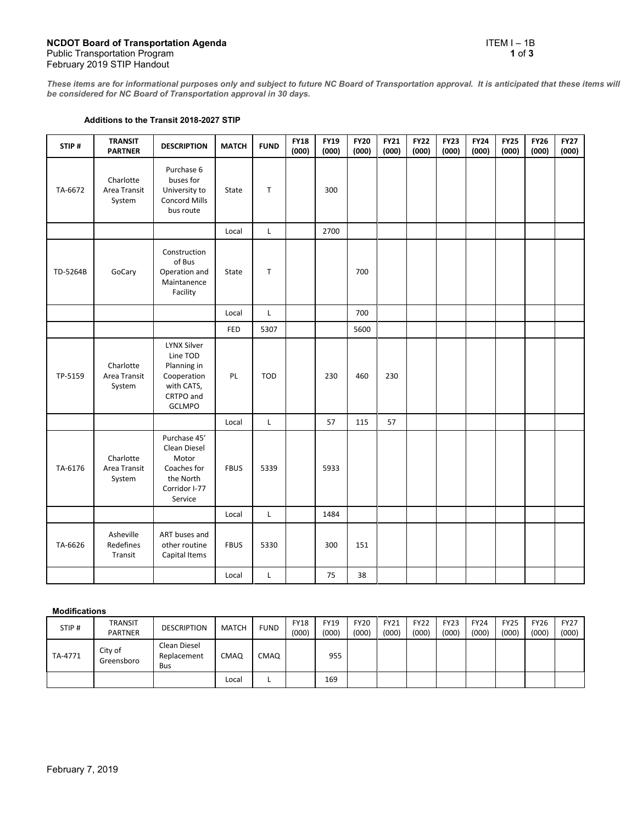*These items are for informational purposes only and subject to future NC Board of Transportation approval. It is anticipated that these items will be considered for NC Board of Transportation approval in 30 days.*

## **Additions to the Transit 2018-2027 STIP**

| STIP#    | <b>TRANSIT</b><br><b>PARTNER</b>    | <b>DESCRIPTION</b>                                                                                       | <b>MATCH</b> | <b>FUND</b> | <b>FY18</b><br>(000) | <b>FY19</b><br>(000) | <b>FY20</b><br>(000) | <b>FY21</b><br>(000) | <b>FY22</b><br>(000) | <b>FY23</b><br>(000) | <b>FY24</b><br>(000) | <b>FY25</b><br>(000) | <b>FY26</b><br>(000) | <b>FY27</b><br>(000) |
|----------|-------------------------------------|----------------------------------------------------------------------------------------------------------|--------------|-------------|----------------------|----------------------|----------------------|----------------------|----------------------|----------------------|----------------------|----------------------|----------------------|----------------------|
| TA-6672  | Charlotte<br>Area Transit<br>System | Purchase 6<br>buses for<br>University to<br>Concord Mills<br>bus route                                   | State        | T           |                      | 300                  |                      |                      |                      |                      |                      |                      |                      |                      |
|          |                                     |                                                                                                          | Local        | $\mathsf L$ |                      | 2700                 |                      |                      |                      |                      |                      |                      |                      |                      |
| TD-5264B | GoCary                              | Construction<br>of Bus<br>Operation and<br>Maintanence<br>Facility                                       | State        | $\mathsf T$ |                      |                      | 700                  |                      |                      |                      |                      |                      |                      |                      |
|          |                                     |                                                                                                          | Local        | L           |                      |                      | 700                  |                      |                      |                      |                      |                      |                      |                      |
|          |                                     |                                                                                                          | FED          | 5307        |                      |                      | 5600                 |                      |                      |                      |                      |                      |                      |                      |
| TP-5159  | Charlotte<br>Area Transit<br>System | <b>LYNX Silver</b><br>Line TOD<br>Planning in<br>Cooperation<br>with CATS,<br>CRTPO and<br><b>GCLMPO</b> | PL           | <b>TOD</b>  |                      | 230                  | 460                  | 230                  |                      |                      |                      |                      |                      |                      |
|          |                                     |                                                                                                          | Local        | $\mathsf L$ |                      | 57                   | 115                  | 57                   |                      |                      |                      |                      |                      |                      |
| TA-6176  | Charlotte<br>Area Transit<br>System | Purchase 45'<br>Clean Diesel<br>Motor<br>Coaches for<br>the North<br>Corridor I-77<br>Service            | <b>FBUS</b>  | 5339        |                      | 5933                 |                      |                      |                      |                      |                      |                      |                      |                      |
|          |                                     |                                                                                                          | Local        | L           |                      | 1484                 |                      |                      |                      |                      |                      |                      |                      |                      |
| TA-6626  | Asheville<br>Redefines<br>Transit   | ART buses and<br>other routine<br>Capital Items                                                          | <b>FBUS</b>  | 5330        |                      | 300                  | 151                  |                      |                      |                      |                      |                      |                      |                      |
|          |                                     |                                                                                                          | Local        | L           |                      | 75                   | 38                   |                      |                      |                      |                      |                      |                      |                      |

## **Modifications**

| STIP#   | <b>TRANSIT</b><br><b>PARTNER</b> | <b>DESCRIPTION</b>                        | <b>MATCH</b> | <b>FUND</b> | <b>FY18</b><br>(000) | <b>FY19</b><br>(000) | <b>FY20</b><br>(000) | FY21<br>(000) | <b>FY22</b><br>(000) | <b>FY23</b><br>(000) | <b>FY24</b><br>(000) | <b>FY25</b><br>(000) | <b>FY26</b><br>(000) | <b>FY27</b><br>(000) |
|---------|----------------------------------|-------------------------------------------|--------------|-------------|----------------------|----------------------|----------------------|---------------|----------------------|----------------------|----------------------|----------------------|----------------------|----------------------|
| TA-4771 | City of<br>Greensboro            | Clean Diesel<br>Replacement<br><b>Bus</b> | <b>CMAQ</b>  | CMAQ        |                      | 955                  |                      |               |                      |                      |                      |                      |                      |                      |
|         |                                  |                                           | Local        |             |                      | 169                  |                      |               |                      |                      |                      |                      |                      |                      |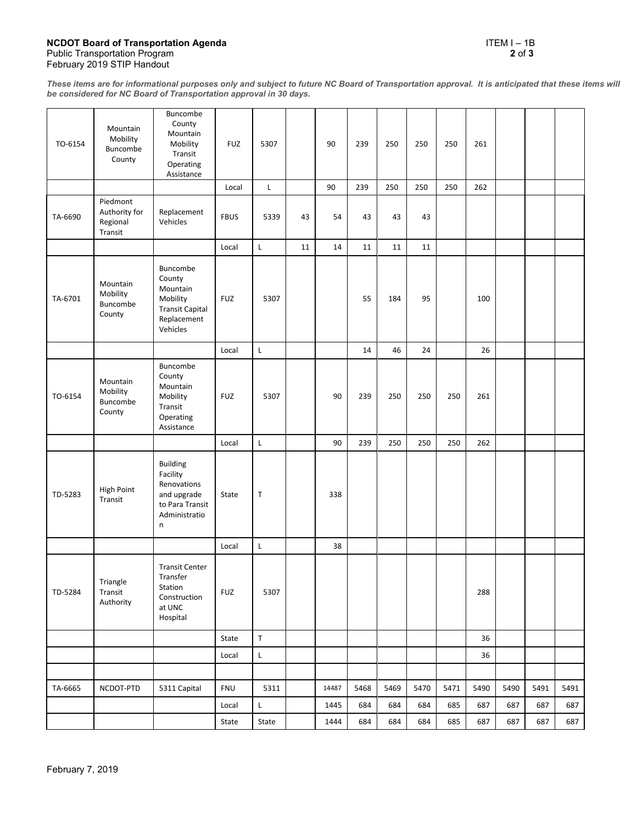## **NCDOT Board of Transportation Agenda** ITEM I – 1B Public Transportation Program **2** of **3** February 2019 STIP Handout

*These items are for informational purposes only and subject to future NC Board of Transportation approval. It is anticipated that these items will be considered for NC Board of Transportation approval in 30 days.*

| TO-6154 | Mountain<br>Mobility<br>Buncombe<br>County       | Buncombe<br>County<br>Mountain<br>Mobility<br>Transit<br>Operating<br>Assistance                  | <b>FUZ</b>  | 5307        |    | 90    | 239  | 250  | 250  | 250  | 261  |      |      |      |
|---------|--------------------------------------------------|---------------------------------------------------------------------------------------------------|-------------|-------------|----|-------|------|------|------|------|------|------|------|------|
|         |                                                  |                                                                                                   | Local       | Г           |    | 90    | 239  | 250  | 250  | 250  | 262  |      |      |      |
| TA-6690 | Piedmont<br>Authority for<br>Regional<br>Transit | Replacement<br>Vehicles                                                                           | <b>FBUS</b> | 5339        | 43 | 54    | 43   | 43   | 43   |      |      |      |      |      |
|         |                                                  |                                                                                                   | Local       | L           | 11 | 14    | 11   | 11   | 11   |      |      |      |      |      |
| TA-6701 | Mountain<br>Mobility<br>Buncombe<br>County       | Buncombe<br>County<br>Mountain<br>Mobility<br><b>Transit Capital</b><br>Replacement<br>Vehicles   | <b>FUZ</b>  | 5307        |    |       | 55   | 184  | 95   |      | 100  |      |      |      |
|         |                                                  |                                                                                                   | Local       | L           |    |       | 14   | 46   | 24   |      | 26   |      |      |      |
| TO-6154 | Mountain<br>Mobility<br>Buncombe<br>County       | <b>Buncombe</b><br>County<br>Mountain<br>Mobility<br>Transit<br>Operating<br>Assistance           | <b>FUZ</b>  | 5307        |    | 90    | 239  | 250  | 250  | 250  | 261  |      |      |      |
|         |                                                  |                                                                                                   | Local       | $\mathsf L$ |    | 90    | 239  | 250  | 250  | 250  | 262  |      |      |      |
| TD-5283 | High Point<br>Transit                            | Building<br>Facility<br>Renovations<br>and upgrade<br>to Para Transit<br>Administratio<br>$\sf n$ | State       | $\top$      |    | 338   |      |      |      |      |      |      |      |      |
|         |                                                  |                                                                                                   | Local       | L           |    | 38    |      |      |      |      |      |      |      |      |
| TD-5284 | Triangle<br>Transit<br>Authority                 | <b>Transit Center</b><br>Transfer<br>Station<br>Construction<br>at UNC<br>Hospital                | <b>FUZ</b>  | 5307        |    |       |      |      |      |      | 288  |      |      |      |
|         |                                                  |                                                                                                   | State       | $\sf T$     |    |       |      |      |      |      | 36   |      |      |      |
|         |                                                  |                                                                                                   | Local       | L           |    |       |      |      |      |      | 36   |      |      |      |
|         |                                                  |                                                                                                   |             |             |    |       |      |      |      |      |      |      |      |      |
| TA-6665 | NCDOT-PTD                                        | 5311 Capital                                                                                      | <b>FNU</b>  | 5311        |    | 14487 | 5468 | 5469 | 5470 | 5471 | 5490 | 5490 | 5491 | 5491 |
|         |                                                  |                                                                                                   | Local       | L           |    | 1445  | 684  | 684  | 684  | 685  | 687  | 687  | 687  | 687  |
|         |                                                  |                                                                                                   | State       | State       |    | 1444  | 684  | 684  | 684  | 685  | 687  | 687  | 687  | 687  |